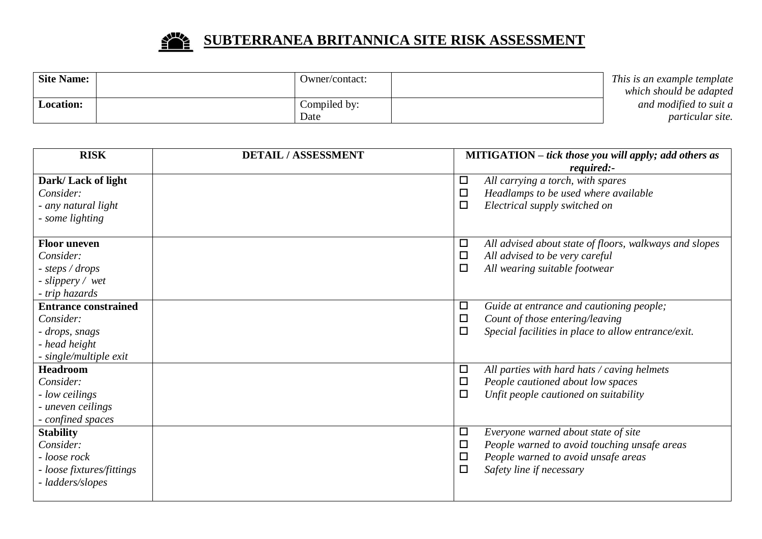

## **SUBTERRANEA BRITANNICA SITE RISK ASSESSMENT**

| <b>Site Name:</b> | : Owner/contact | This is an example template |
|-------------------|-----------------|-----------------------------|
|                   |                 | which should be adapted     |
| <b>Location:</b>  | Compiled by:    | and modified to suit a      |
|                   | Date            | <i>particular site.</i>     |

| <b>RISK</b>                 | <b>DETAIL / ASSESSMENT</b> | <b>MITIGATION</b> – tick those you will apply; add others as |                                                        |
|-----------------------------|----------------------------|--------------------------------------------------------------|--------------------------------------------------------|
|                             |                            |                                                              | required:-                                             |
| Dark/Lack of light          |                            | $\Box$                                                       | All carrying a torch, with spares                      |
| Consider:                   |                            | $\Box$                                                       | Headlamps to be used where available                   |
| - any natural light         |                            | $\Box$                                                       | Electrical supply switched on                          |
| - some lighting             |                            |                                                              |                                                        |
| <b>Floor uneven</b>         |                            | $\Box$                                                       | All advised about state of floors, walkways and slopes |
| Consider:                   |                            | $\Box$                                                       | All advised to be very careful                         |
| - steps / drops             |                            | $\Box$                                                       | All wearing suitable footwear                          |
| - slippery / wet            |                            |                                                              |                                                        |
| - trip hazards              |                            |                                                              |                                                        |
| <b>Entrance constrained</b> |                            | $\Box$                                                       | Guide at entrance and cautioning people;               |
| Consider:                   |                            | $\Box$                                                       | Count of those entering/leaving                        |
| - drops, snags              |                            | $\Box$                                                       | Special facilities in place to allow entrance/exit.    |
| - head height               |                            |                                                              |                                                        |
| - single/multiple exit      |                            |                                                              |                                                        |
| <b>Headroom</b>             |                            | $\Box$                                                       | All parties with hard hats / caving helmets            |
| Consider:                   |                            | $\Box$                                                       | People cautioned about low spaces                      |
| - low ceilings              |                            | $\Box$                                                       | Unfit people cautioned on suitability                  |
| - uneven ceilings           |                            |                                                              |                                                        |
| - confined spaces           |                            |                                                              |                                                        |
| <b>Stability</b>            |                            | $\Box$                                                       | Everyone warned about state of site                    |
| Consider:                   |                            | $\Box$                                                       | People warned to avoid touching unsafe areas           |
| - loose rock                |                            | $\Box$                                                       | People warned to avoid unsafe areas                    |
| - loose fixtures/fittings   |                            | $\Box$                                                       | Safety line if necessary                               |
| - ladders/slopes            |                            |                                                              |                                                        |
|                             |                            |                                                              |                                                        |